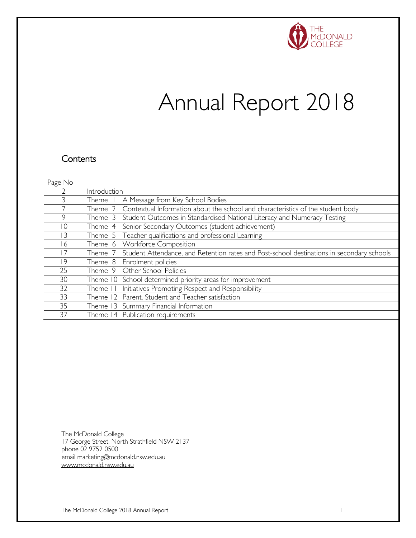

# Annual Report 2018

### **Contents**

| Page No        |              |                                                                                           |
|----------------|--------------|-------------------------------------------------------------------------------------------|
|                | Introduction |                                                                                           |
| 3              | Theme        | A Message from Key School Bodies                                                          |
|                | Theme 2      | Contextual Information about the school and characteristics of the student body           |
| 9              | Theme 3      | Student Outcomes in Standardised National Literacy and Numeracy Testing                   |
| $\circ$        | Theme 4      | Senior Secondary Outcomes (student achievement)                                           |
| $\overline{3}$ |              | Theme 5 Teacher qualifications and professional Learning                                  |
| 6              | Theme 6      | <b>Workforce Composition</b>                                                              |
|                | I heme 7     | Student Attendance, and Retention rates and Post-school destinations in secondary schools |
| 19             | Theme 8      | Enrolment policies                                                                        |
| 25             |              | Theme 9 Other School Policies                                                             |
| 30             |              | Theme 10 School determined priority areas for improvement                                 |
| 32             | Theme II     | Initiatives Promoting Respect and Responsibility                                          |
| 33             |              | Theme 12 Parent, Student and Teacher satisfaction                                         |
| 35             |              | Theme 13 Summary Financial Information                                                    |
| 37             |              | Theme 14 Publication requirements                                                         |

The McDonald College 17 George Street, North Strathfield NSW 2137 phone 02 9752 0500 email marketing@mcdonald.nsw.edu.au www.mcdonald.nsw.edu.au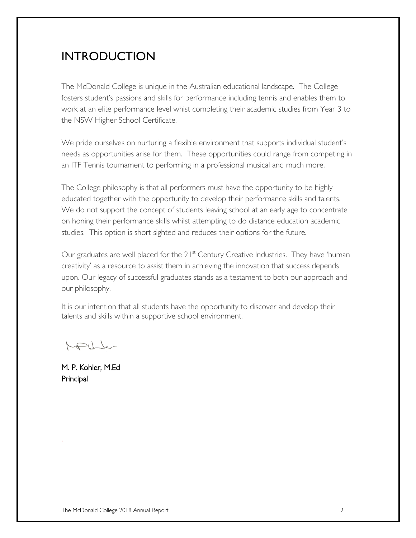# INTRODUCTION

The McDonald College is unique in the Australian educational landscape. The College fosters student's passions and skills for performance including tennis and enables them to work at an elite performance level whist completing their academic studies from Year 3 to the NSW Higher School Certificate.

We pride ourselves on nurturing a flexible environment that supports individual student's needs as opportunities arise for them. These opportunities could range from competing in an ITF Tennis tournament to performing in a professional musical and much more.

The College philosophy is that all performers must have the opportunity to be highly educated together with the opportunity to develop their performance skills and talents. We do not support the concept of students leaving school at an early age to concentrate on honing their performance skills whilst attempting to do distance education academic studies. This option is short sighted and reduces their options for the future.

Our graduates are well placed for the 21<sup>st</sup> Century Creative Industries. They have 'human creativity' as a resource to assist them in achieving the innovation that success depends upon. Our legacy of successful graduates stands as a testament to both our approach and our philosophy.

It is our intention that all students have the opportunity to discover and develop their talents and skills within a supportive school environment.

 $\sqrt{1-\pi}$ 

M. P. Kohler, M.Ed Principal

.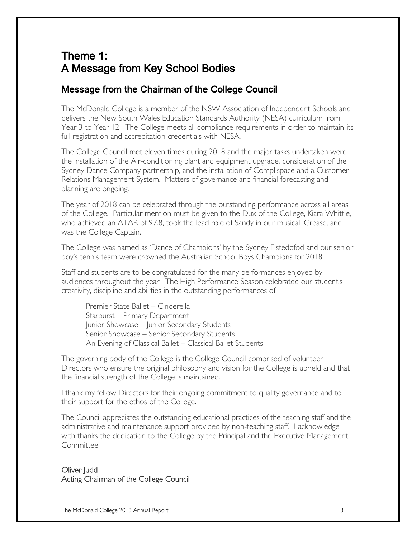### Theme 1: A Message from Key School Bodies

### Message from the Chairman of the College Council

The McDonald College is a member of the NSW Association of Independent Schools and delivers the New South Wales Education Standards Authority (NESA) curriculum from Year 3 to Year 12. The College meets all compliance requirements in order to maintain its full registration and accreditation credentials with NESA.

The College Council met eleven times during 2018 and the major tasks undertaken were the installation of the Air-conditioning plant and equipment upgrade, consideration of the Sydney Dance Company partnership, and the installation of Complispace and a Customer Relations Management System. Matters of governance and financial forecasting and planning are ongoing.

The year of 2018 can be celebrated through the outstanding performance across all areas of the College. Particular mention must be given to the Dux of the College, Kiara Whittle, who achieved an ATAR of 97.8, took the lead role of Sandy in our musical, Grease, and was the College Captain.

The College was named as 'Dance of Champions' by the Sydney Eisteddfod and our senior boy's tennis team were crowned the Australian School Boys Champions for 2018.

Staff and students are to be congratulated for the many performances enjoyed by audiences throughout the year. The High Performance Season celebrated our student's creativity, discipline and abilities in the outstanding performances of:

Premier State Ballet – Cinderella Starburst – Primary Department Junior Showcase – Junior Secondary Students Senior Showcase – Senior Secondary Students An Evening of Classical Ballet – Classical Ballet Students

The governing body of the College is the College Council comprised of volunteer Directors who ensure the original philosophy and vision for the College is upheld and that the financial strength of the College is maintained.

I thank my fellow Directors for their ongoing commitment to quality governance and to their support for the ethos of the College.

The Council appreciates the outstanding educational practices of the teaching staff and the administrative and maintenance support provided by non-teaching staff. I acknowledge with thanks the dedication to the College by the Principal and the Executive Management Committee.

#### Oliver Judd Acting Chairman of the College Council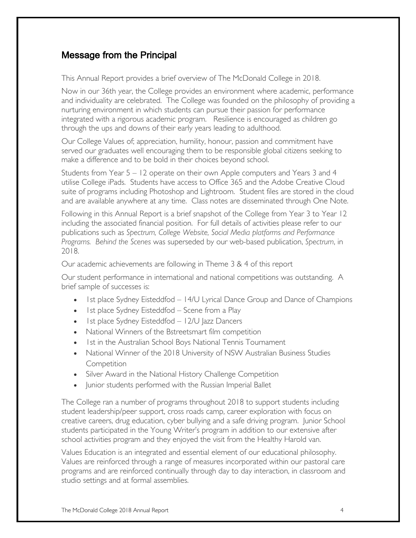### Message from the Principal

This Annual Report provides a brief overview of The McDonald College in 2018.

Now in our 36th year, the College provides an environment where academic, performance and individuality are celebrated. The College was founded on the philosophy of providing a nurturing environment in which students can pursue their passion for performance integrated with a rigorous academic program. Resilience is encouraged as children go through the ups and downs of their early years leading to adulthood.

Our College Values of; appreciation, humility, honour, passion and commitment have served our graduates well encouraging them to be responsible global citizens seeking to make a difference and to be bold in their choices beyond school.

Students from Year 5 – 12 operate on their own Apple computers and Years 3 and 4 utilise College iPads. Students have access to Office 365 and the Adobe Creative Cloud suite of programs including Photoshop and Lightroom. Student files are stored in the cloud and are available anywhere at any time. Class notes are disseminated through One Note.

Following in this Annual Report is a brief snapshot of the College from Year 3 to Year 12 including the associated financial position. For full details of activities please refer to our publications such as *Spectrum, College Website, Social Media platforms and Performance Programs. Behind the Scenes* was superseded by our web-based publication, *Spectrum*, in 2018.

Our academic achievements are following in Theme 3 & 4 of this report

Our student performance in international and national competitions was outstanding. A brief sample of successes is:

- Ist place Sydney Eisteddfod 14/U Lyrical Dance Group and Dance of Champions
- Ist place Sydney Eisteddfod Scene from a Play
- Ist place Sydney Eisteddfod 12/U Jazz Dancers
- National Winners of the Bstreetsmart film competition
- 1st in the Australian School Boys National Tennis Tournament
- National Winner of the 2018 University of NSW Australian Business Studies **Competition**
- Silver Award in the National History Challenge Competition
- Junior students performed with the Russian Imperial Ballet

The College ran a number of programs throughout 2018 to support students including student leadership/peer support, cross roads camp, career exploration with focus on creative careers, drug education, cyber bullying and a safe driving program. Junior School students participated in the Young Writer's program in addition to our extensive after school activities program and they enjoyed the visit from the Healthy Harold van.

Values Education is an integrated and essential element of our educational philosophy. Values are reinforced through a range of measures incorporated within our pastoral care programs and are reinforced continually through day to day interaction, in classroom and studio settings and at formal assemblies.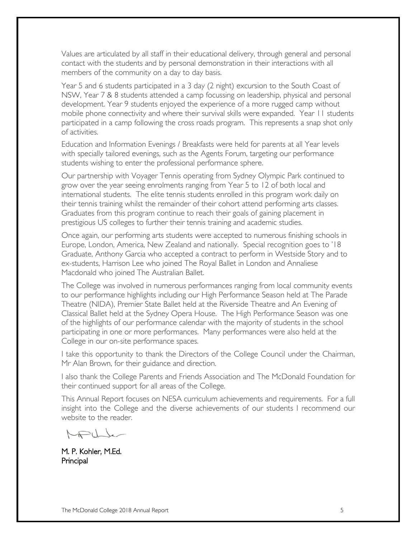Values are articulated by all staff in their educational delivery, through general and personal contact with the students and by personal demonstration in their interactions with all members of the community on a day to day basis.

Year 5 and 6 students participated in a 3 day (2 night) excursion to the South Coast of NSW, Year 7 & 8 students attended a camp focussing on leadership, physical and personal development. Year 9 students enjoyed the experience of a more rugged camp without mobile phone connectivity and where their survival skills were expanded. Year 11 students participated in a camp following the cross roads program. This represents a snap shot only of activities.

Education and Information Evenings / Breakfasts were held for parents at all Year levels with specially tailored evenings, such as the Agents Forum, targeting our performance students wishing to enter the professional performance sphere.

Our partnership with Voyager Tennis operating from Sydney Olympic Park continued to grow over the year seeing enrolments ranging from Year 5 to 12 of both local and international students. The elite tennis students enrolled in this program work daily on their tennis training whilst the remainder of their cohort attend performing arts classes. Graduates from this program continue to reach their goals of gaining placement in prestigious US colleges to further their tennis training and academic studies.

Once again, our performing arts students were accepted to numerous finishing schools in Europe, London, America, New Zealand and nationally. Special recognition goes to '18 Graduate, Anthony Garcia who accepted a contract to perform in Westside Story and to ex-students, Harrison Lee who joined The Royal Ballet in London and Annaliese Macdonald who joined The Australian Ballet.

The College was involved in numerous performances ranging from local community events to our performance highlights including our High Performance Season held at The Parade Theatre (NIDA), Premier State Ballet held at the Riverside Theatre and An Evening of Classical Ballet held at the Sydney Opera House. The High Performance Season was one of the highlights of our performance calendar with the majority of students in the school participating in one or more performances. Many performances were also held at the College in our on-site performance spaces.

I take this opportunity to thank the Directors of the College Council under the Chairman, Mr Alan Brown, for their guidance and direction.

I also thank the College Parents and Friends Association and The McDonald Foundation for their continued support for all areas of the College.

This Annual Report focuses on NESA curriculum achievements and requirements. For a full insight into the College and the diverse achievements of our students I recommend our website to the reader.

 $\bigcup$ 

M. P. Kohler, M.Ed. Principal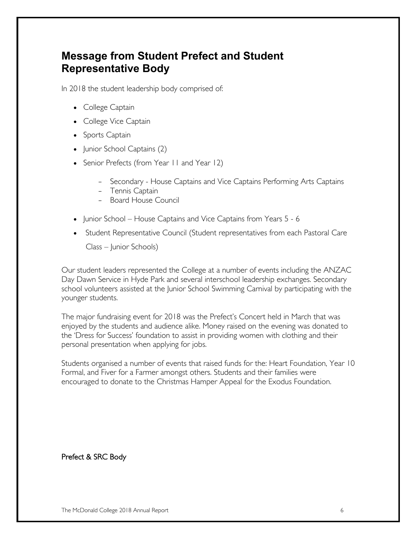### **Message from Student Prefect and Student Representative Body**

In 2018 the student leadership body comprised of:

- College Captain
- College Vice Captain
- Sports Captain
- Junior School Captains (2)
- Senior Prefects (from Year II and Year 12)
	- Secondary House Captains and Vice Captains Performing Arts Captains
	- Tennis Captain
	- Board House Council
- Junior School House Captains and Vice Captains from Years 5 6
- Student Representative Council (Student representatives from each Pastoral Care

Class – Junior Schools)

Our student leaders represented the College at a number of events including the ANZAC Day Dawn Service in Hyde Park and several interschool leadership exchanges. Secondary school volunteers assisted at the Junior School Swimming Carnival by participating with the younger students.

The major fundraising event for 2018 was the Prefect's Concert held in March that was enjoyed by the students and audience alike. Money raised on the evening was donated to the 'Dress for Success' foundation to assist in providing women with clothing and their personal presentation when applying for jobs.

Students organised a number of events that raised funds for the: Heart Foundation, Year 10 Formal, and Fiver for a Farmer amongst others. Students and their families were encouraged to donate to the Christmas Hamper Appeal for the Exodus Foundation.

Prefect & SRC Body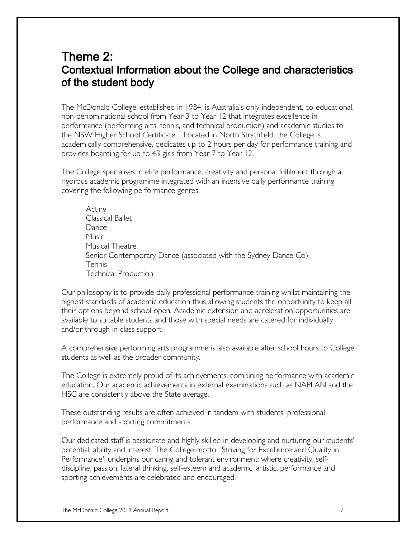### Theme 2: Contextual Information about the College and characteristics of the student body

The McDonald College, established in 1984, is Australia's only independent, co-educational, non-denominational school from Year 3 to Year 12 that integrates excellence in performance (performing arts, tennis, and technical production) and academic studies to the NSW Higher School Certificate. Located in North Strathfield, the College is academically comprehensive, dedicates up to 2 hours per day for performance training and provides boarding for up to 43 girls from Year 7 to Year 12.

The College specialises in elite performance, creativity and personal fulfilment through a rigorous academic programme integrated with an intensive daily performance training covering the following performance genres:

Acting Classical Ballet Dance Music Musical Theatre Senior Contemporary Dance (associated with the Sydney Dance Co) Tennis Technical Production

Our philosophy is to provide daily professional performance training whilst maintaining the highest standards of academic education thus allowing students the opportunity to keep all their options beyond school open. Academic extension and acceleration opportunities are available to suitable students and those with special needs are catered for individually and/or through in-class support.

A comprehensive performing arts programme is also available after school hours to College students as well as the broader community.

The College is extremely proud of its achievements; combining performance with academic education. Our academic achievements in external examinations such as NAPLAN and the HSC are consistently above the State average.

These outstanding results are often achieved in tandem with students' professional performance and sporting commitments.

Our dedicated staff is passionate and highly skilled in developing and nurturing our students' potential, ability and interest. The College motto, 'Striving for Excellence and Quality in Performance', underpins our caring and tolerant environment; where creativity, selfdiscipline, passion, lateral thinking, self-esteem and academic, artistic, performance and sporting achievements are celebrated and encouraged.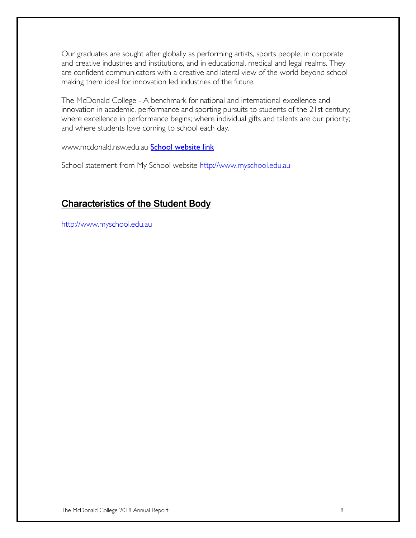Our graduates are sought after globally as performing artists, sports people, in corporate and creative industries and institutions, and in educational, medical and legal realms. They are confident communicators with a creative and lateral view of the world beyond school making them ideal for innovation led industries of the future.

The McDonald College - A benchmark for national and international excellence and innovation in academic, performance and sporting pursuits to students of the 21st century; where excellence in performance begins; where individual gifts and talents are our priority; and where students love coming to school each day.

www.mcdonald.nsw.edu.au **School website link** 

School statement from My School website http://www.myschool.edu.au

### Characteristics of the Student Body

http://www.myschool.edu.au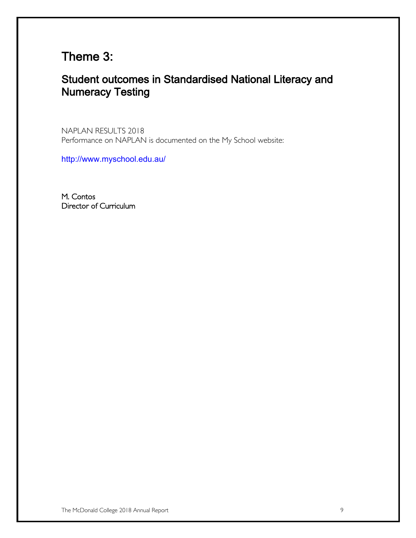# Theme 3:

### Student outcomes in Standardised National Literacy and Numeracy Testing

NAPLAN RESULTS 2018 Performance on NAPLAN is documented on the My School website:

http://www.myschool.edu.au/

M. Contos Director of Curriculum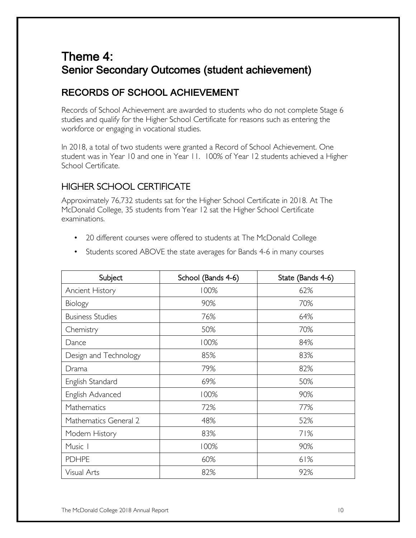# Theme 4: Senior Secondary Outcomes (student achievement)

### RECORDS OF SCHOOL ACHIEVEMENT

Records of School Achievement are awarded to students who do not complete Stage 6 studies and qualify for the Higher School Certificate for reasons such as entering the workforce or engaging in vocational studies.

In 2018, a total of two students were granted a Record of School Achievement. One student was in Year 10 and one in Year 11. 100% of Year 12 students achieved a Higher School Certificate.

### HIGHER SCHOOL CERTIFICATE

Approximately 76,732 students sat for the Higher School Certificate in 2018. At The McDonald College, 35 students from Year 12 sat the Higher School Certificate examinations.

• 20 different courses were offered to students at The McDonald College

|  |  | • Students scored ABOVE the state averages for Bands 4-6 in many courses |  |  |  |
|--|--|--------------------------------------------------------------------------|--|--|--|
|--|--|--------------------------------------------------------------------------|--|--|--|

| Subject                 | School (Bands 4-6) | State (Bands 4-6) |
|-------------------------|--------------------|-------------------|
| <b>Ancient History</b>  | 100%               | 62%               |
| Biology                 | 90%                | 70%               |
| <b>Business Studies</b> | 76%                | 64%               |
| Chemistry               | 50%                | 70%               |
| Dance                   | 100%               | 84%               |
| Design and Technology   | 85%                | 83%               |
| Drama                   | 79%                | 82%               |
| English Standard        | 69%                | 50%               |
| English Advanced        | 100%               | 90%               |
| Mathematics             | 72%                | 77%               |
| Mathematics General 2   | 48%                | 52%               |
| Modern History          | 83%                | 71%               |
| Music 1                 | 100%               | 90%               |
| <b>PDHPE</b>            | 60%                | 61%               |
| Visual Arts             | 82%                | 92%               |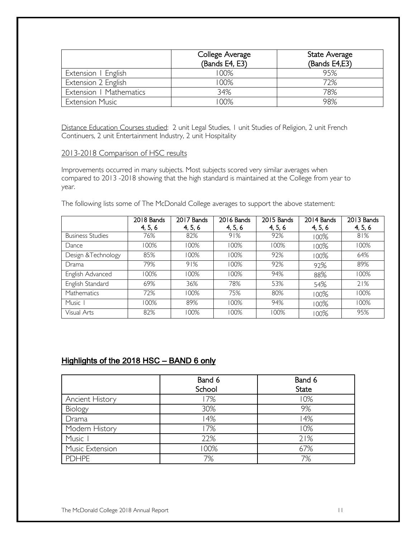|                         | College Average<br>(Bands E4, E3) | State Average<br>(Bands E4,E3) |
|-------------------------|-----------------------------------|--------------------------------|
| Extension   English     | 100%                              | 95%                            |
| Extension 2 English     | 100%                              | 72%                            |
| Extension   Mathematics | 34%                               | 78%                            |
| <b>Extension Music</b>  | 00%                               | 98%                            |

Distance Education Courses studied: 2 unit Legal Studies, I unit Studies of Religion, 2 unit French Continuers, 2 unit Entertainment Industry, 2 unit Hospitality

#### 2013-2018 Comparison of HSC results

Improvements occurred in many subjects. Most subjects scored very similar averages when compared to 2013 -2018 showing that the high standard is maintained at the College from year to year.

The following lists some of The McDonald College averages to support the above statement:

|                         | 2018 Bands | 2017 Bands | 2016 Bands | 2015 Bands | 2014 Bands | 2013 Bands |
|-------------------------|------------|------------|------------|------------|------------|------------|
|                         | 4, 5, 6    | 4, 5, 6    | 4, 5, 6    | 4, 5, 6    | 4, 5, 6    | 4, 5, 6    |
| <b>Business Studies</b> | 76%        | 82%        | 91%        | 92%        | $100\%$    | 81%        |
| Dance                   | 100%       | 100%       | 100%       | 100%       | 100%       | 100%       |
| Design &Technology      | 85%        | 100%       | 100%       | 92%        | $100\%$    | 64%        |
| Drama                   | 79%        | 91%        | 100%       | 92%        | 92%        | 89%        |
| English Advanced        | 100%       | 100%       | 100%       | 94%        | 88%        | 100%       |
| English Standard        | 69%        | 36%        | 78%        | 53%        | 54%        | 21%        |
| Mathematics             | 72%        | 100%       | 75%        | 80%        | $100\%$    | 100%       |
| Music I                 | 100%       | 89%        | 100%       | 94%        | $100\%$    | 100%       |
| Visual Arts             | 82%        | 100%       | 100%       | 100%       | $100\%$    | 95%        |

#### Highlights of the 2018 HSC – BAND 6 only

|                        | Band 6<br>School | Band 6<br><b>State</b> |
|------------------------|------------------|------------------------|
| <b>Ancient History</b> | 17%              | 10%                    |
| Biology                | 30%              | 9%                     |
| Drama                  | 14%              | 14%                    |
| Modern History         | 17%              | 10%                    |
| Music I                | 22%              | 21%                    |
| Music Extension        | 100%             | 67%                    |
| <b>PDHPE</b>           | 7%               | 7%                     |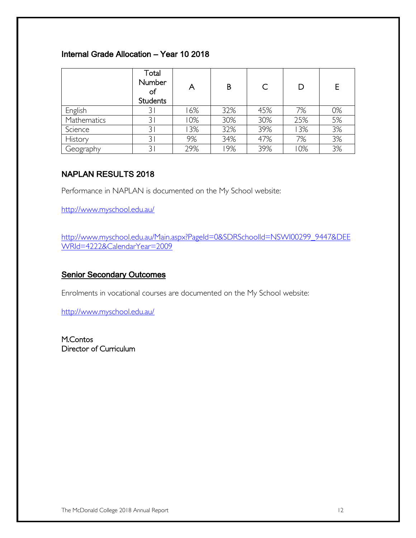### Internal Grade Allocation – Year 10 2018

|             | Total<br>Number<br>оt<br><b>Students</b> | A   | B   |     | D   |    |
|-------------|------------------------------------------|-----|-----|-----|-----|----|
| English     |                                          | 6%  | 32% | 45% | 7%  | 0% |
| Mathematics | 31                                       | 0%  | 30% | 30% | 25% | 5% |
| Science     | 3 <sup>1</sup>                           | 3%  | 32% | 39% | 3%  | 3% |
| History     | 31                                       | 9%  | 34% | 47% | 7%  | 3% |
| Geography   |                                          | 29% | 9%  | 39% | 10% | 3% |

#### NAPLAN RESULTS 2018

Performance in NAPLAN is documented on the My School website:

http://www.myschool.edu.au/

http://www.myschool.edu.au/Main.aspx?PageId=0&SDRSchoolId=NSWI00299\_9447&DEE WRId=4222&CalendarYear=2009

#### **Senior Secondary Outcomes**

Enrolments in vocational courses are documented on the My School website:

http://www.myschool.edu.au/

M.Contos Director of Curriculum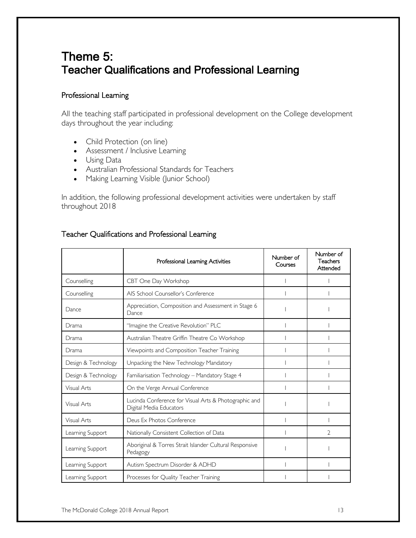# Theme 5: Teacher Qualifications and Professional Learning

#### Professional Learning

All the teaching staff participated in professional development on the College development days throughout the year including:

- Child Protection (on line)
- Assessment / Inclusive Learning
- Using Data
- Australian Professional Standards for Teachers
- Making Learning Visible (Junior School)

In addition, the following professional development activities were undertaken by staff throughout 2018

|                     | Professional Learning Activities                                                 | Number of<br>Courses | Number of<br>Teachers<br>Attended |
|---------------------|----------------------------------------------------------------------------------|----------------------|-----------------------------------|
| Counselling         | CBT One Day Workshop                                                             |                      |                                   |
| Counselling         | AIS School Counsellor's Conference                                               |                      |                                   |
| Dance               | Appreciation, Composition and Assessment in Stage 6<br>Dance                     |                      |                                   |
| Drama               | "Imagine the Creative Revolution" PLC                                            |                      |                                   |
| Drama               | Australian Theatre Griffin Theatre Co Workshop                                   |                      |                                   |
| Drama               | Viewpoints and Composition Teacher Training                                      |                      |                                   |
| Design & Technology | Unpacking the New Technology Mandatory                                           |                      |                                   |
| Design & Technology | Familiarisation Technology - Mandatory Stage 4                                   |                      |                                   |
| Visual Arts         | On the Verge Annual Conference                                                   |                      |                                   |
| Visual Arts         | Lucinda Conference for Visual Arts & Photographic and<br>Digital Media Educators |                      |                                   |
| Visual Arts         | Deus Ex Photos Conference                                                        |                      |                                   |
| Learning Support    | Nationally Consistent Collection of Data                                         |                      | $\mathfrak{D}$                    |
| Learning Support    | Aboriginal & Torres Strait Islander Cultural Responsive<br>Pedagogy              |                      |                                   |
| Learning Support    | Autism Spectrum Disorder & ADHD                                                  |                      |                                   |
| Learning Support    | Processes for Quality Teacher Training                                           |                      |                                   |

#### Teacher Qualifications and Professional Learning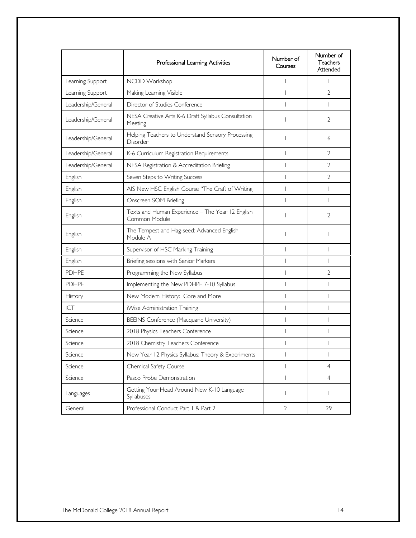|                    | Professional Learning Activities                                  | Number of<br>Courses | Number of<br>Teachers<br>Attended |
|--------------------|-------------------------------------------------------------------|----------------------|-----------------------------------|
| Learning Support   | NCDD Workshop                                                     |                      | T                                 |
| Learning Support   | Making Learning Visible                                           |                      | $\overline{2}$                    |
| Leadership/General | Director of Studies Conference                                    |                      | T                                 |
| Leadership/General | NESA Creative Arts K-6 Draft Syllabus Consultation<br>Meeting     |                      | $\overline{2}$                    |
| Leadership/General | Helping Teachers to Understand Sensory Processing<br>Disorder     |                      | 6                                 |
| Leadership/General | K-6 Curriculum Registration Requirements                          |                      | $\overline{2}$                    |
| Leadership/General | NESA Registration & Accreditation Briefing                        |                      | 2                                 |
| English            | Seven Steps to Writing Success                                    |                      | $\overline{2}$                    |
| English            | AIS New HSC English Course "The Craft of Writing                  |                      | I                                 |
| English            | Onscreen SOM Briefing                                             |                      |                                   |
| English            | Texts and Human Experience - The Year 12 English<br>Common Module |                      | $\overline{2}$                    |
| English            | The Tempest and Hag-seed: Advanced English<br>Module A            |                      |                                   |
| English            | Supervisor of HSC Marking Training                                |                      | I                                 |
| English            | Briefing sessions with Senior Markers                             |                      |                                   |
| <b>PDHPE</b>       | Programming the New Syllabus                                      |                      | 2                                 |
| <b>PDHPE</b>       | Implementing the New PDHPE 7-10 Syllabus                          |                      |                                   |
| History            | New Modern History: Core and More                                 |                      |                                   |
| ICT                | iWise Administration Training                                     |                      |                                   |
| Science            | BEEINS Conference (Macquarie University)                          |                      |                                   |
| Science            | 2018 Physics Teachers Conference                                  |                      |                                   |
| Science            | 2018 Chemistry Teachers Conference                                |                      |                                   |
| Science            | New Year 12 Physics Syllabus: Theory & Experiments                |                      |                                   |
| Science            | Chemical Safety Course                                            |                      | $\overline{4}$                    |
| Science            | Pasco Probe Demonstration                                         |                      | $\overline{4}$                    |
| Languages          | Getting Your Head Around New K-10 Language<br>Syllabuses          |                      | T                                 |
| General            | Professional Conduct Part   & Part 2                              | $\overline{2}$       | 29                                |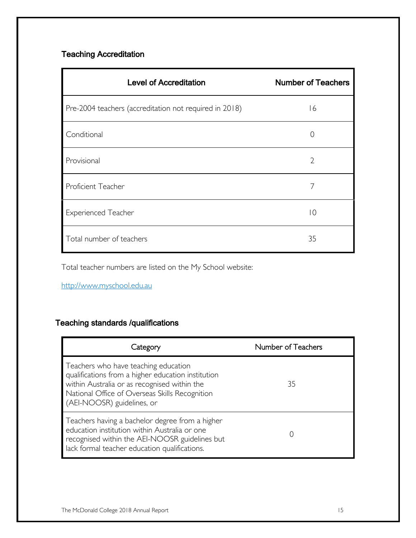### Teaching Accreditation

| <b>Level of Accreditation</b>                          | <b>Number of Teachers</b> |
|--------------------------------------------------------|---------------------------|
| Pre-2004 teachers (accreditation not required in 2018) | 16                        |
| Conditional                                            | $\left( \right)$          |
| Provisional                                            | $\overline{2}$            |
| Proficient Teacher                                     | 7                         |
| <b>Experienced Teacher</b>                             | $\overline{0}$            |
| Total number of teachers                               | 35                        |

Total teacher numbers are listed on the My School website:

http://www.myschool.edu.au

### Teaching standards /qualifications

| Category                                                                                                                                                                                                                   | Number of Teachers |
|----------------------------------------------------------------------------------------------------------------------------------------------------------------------------------------------------------------------------|--------------------|
| Teachers who have teaching education<br>qualifications from a higher education institution<br>within Australia or as recognised within the<br>National Office of Overseas Skills Recognition<br>(AEI-NOOSR) guidelines, or | 35                 |
| Teachers having a bachelor degree from a higher<br>education institution within Australia or one<br>recognised within the AEI-NOOSR guidelines but<br>lack formal teacher education qualifications.                        |                    |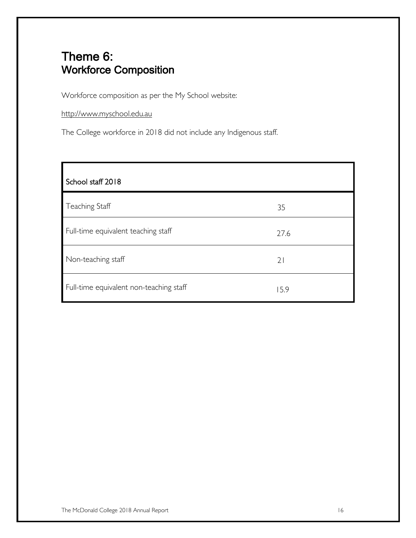# Theme 6: Workforce Composition

Workforce composition as per the My School website:

http://www.myschool.edu.au

The College workforce in 2018 did not include any Indigenous staff.

| School staff 2018                       |      |
|-----------------------------------------|------|
| Teaching Staff                          | 35   |
| Full-time equivalent teaching staff     | 27.6 |
| Non-teaching staff                      | 21   |
| Full-time equivalent non-teaching staff | 15.9 |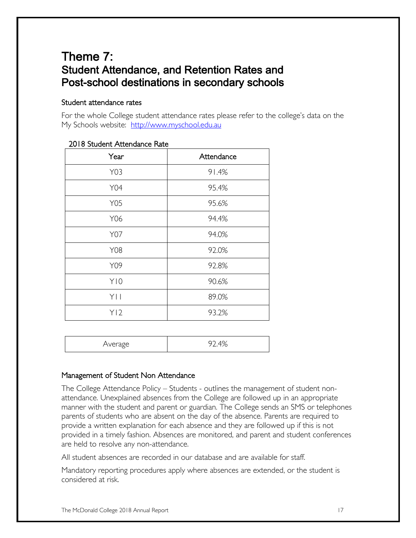# Theme 7: Student Attendance, and Retention Rates and Post-school destinations in secondary schools

#### Student attendance rates

For the whole College student attendance rates please refer to the college's data on the My Schools website: http://www.myschool.edu.au

| Year            | Attendance |
|-----------------|------------|
| Y03             | 91.4%      |
| Y04             | 95.4%      |
| <b>Y05</b>      | 95.6%      |
| Y06             | 94.4%      |
| Y07             | 94.0%      |
| <b>Y08</b>      | 92.0%      |
| Y09             | 92.8%      |
| Y10             | 90.6%      |
| YI I            | 89.0%      |
| Y <sub>12</sub> | 93.2%      |

#### 2018 Student Attendance Rate

|--|--|

#### Management of Student Non Attendance

The College Attendance Policy – Students - outlines the management of student nonattendance. Unexplained absences from the College are followed up in an appropriate manner with the student and parent or guardian. The College sends an SMS or telephones parents of students who are absent on the day of the absence. Parents are required to provide a written explanation for each absence and they are followed up if this is not provided in a timely fashion. Absences are monitored, and parent and student conferences are held to resolve any non-attendance.

All student absences are recorded in our database and are available for staff.

Mandatory reporting procedures apply where absences are extended, or the student is considered at risk.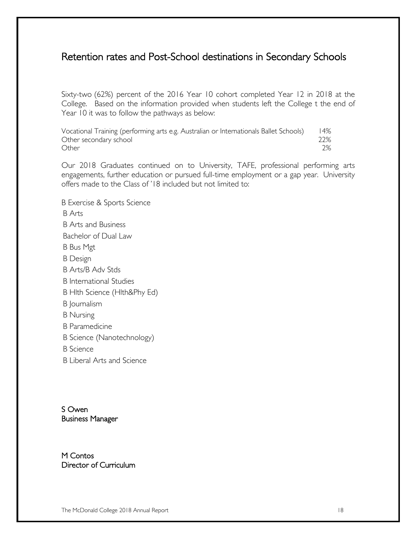### Retention rates and Post-School destinations in Secondary Schools

Sixty-two (62%) percent of the 2016 Year 10 cohort completed Year 12 in 2018 at the College. Based on the information provided when students left the College t the end of Year 10 it was to follow the pathways as below:

Vocational Training (performing arts e.g. Australian or Internationals Ballet Schools) 14% Other secondary school 22% Other 2%

Our 2018 Graduates continued on to University, TAFE, professional performing arts engagements, further education or pursued full-time employment or a gap year. University offers made to the Class of '18 included but not limited to:

B Exercise & Sports Science B Arts B Arts and Business Bachelor of Dual Law B Bus Mgt B Design B Arts/B Adv Stds B International Studies B Hlth Science (Hlth&Phy Ed) B Journalism B Nursing B Paramedicine B Science (Nanotechnology) B Science B Liberal Arts and Science

S Owen Business Manager

M Contos Director of Curriculum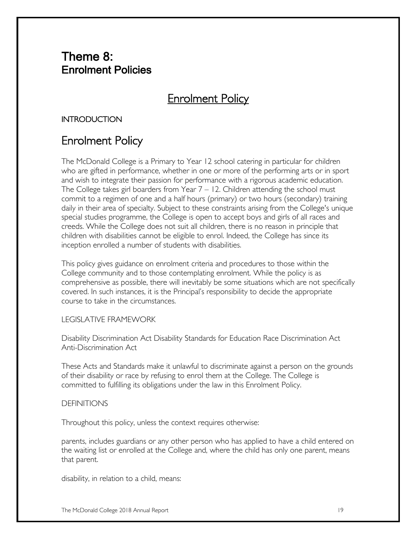### Theme 8: Enrolment Policies

# **Enrolment Policy**

#### **INTRODUCTION**

# Enrolment Policy

The McDonald College is a Primary to Year 12 school catering in particular for children who are gifted in performance, whether in one or more of the performing arts or in sport and wish to integrate their passion for performance with a rigorous academic education. The College takes girl boarders from Year  $7 - 12$ . Children attending the school must commit to a regimen of one and a half hours (primary) or two hours (secondary) training daily in their area of specialty. Subject to these constraints arising from the College's unique special studies programme, the College is open to accept boys and girls of all races and creeds. While the College does not suit all children, there is no reason in principle that children with disabilities cannot be eligible to enrol. Indeed, the College has since its inception enrolled a number of students with disabilities.

This policy gives guidance on enrolment criteria and procedures to those within the College community and to those contemplating enrolment. While the policy is as comprehensive as possible, there will inevitably be some situations which are not specifically covered. In such instances, it is the Principal's responsibility to decide the appropriate course to take in the circumstances.

#### LEGISLATIVE FRAMEWORK

Disability Discrimination Act Disability Standards for Education Race Discrimination Act Anti-Discrimination Act

These Acts and Standards make it unlawful to discriminate against a person on the grounds of their disability or race by refusing to enrol them at the College. The College is committed to fulfilling its obligations under the law in this Enrolment Policy.

#### **DEFINITIONS**

Throughout this policy, unless the context requires otherwise:

parents, includes guardians or any other person who has applied to have a child entered on the waiting list or enrolled at the College and, where the child has only one parent, means that parent.

disability, in relation to a child, means: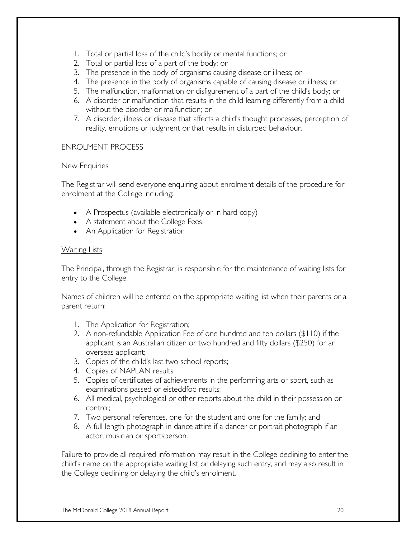- 1. Total or partial loss of the child's bodily or mental functions; or
- 2. Total or partial loss of a part of the body; or
- 3. The presence in the body of organisms causing disease or illness; or
- 4. The presence in the body of organisms capable of causing disease or illness; or
- 5. The malfunction, malformation or disfigurement of a part of the child's body; or
- 6. A disorder or malfunction that results in the child learning differently from a child without the disorder or malfunction; or
- 7. A disorder, illness or disease that affects a child's thought processes, perception of reality, emotions or judgment or that results in disturbed behaviour.

#### ENROLMENT PROCESS

#### New Enquiries

The Registrar will send everyone enquiring about enrolment details of the procedure for enrolment at the College including:

- A Prospectus (available electronically or in hard copy)
- A statement about the College Fees
- An Application for Registration

#### Waiting Lists

The Principal, through the Registrar, is responsible for the maintenance of waiting lists for entry to the College.

Names of children will be entered on the appropriate waiting list when their parents or a parent return:

- 1. The Application for Registration;
- 2. A non-refundable Application Fee of one hundred and ten dollars (\$110) if the applicant is an Australian citizen or two hundred and fifty dollars (\$250) for an overseas applicant;
- 3. Copies of the child's last two school reports;
- 4. Copies of NAPLAN results;
- 5. Copies of certificates of achievements in the performing arts or sport, such as examinations passed or eisteddfod results;
- 6. All medical, psychological or other reports about the child in their possession or control;
- 7. Two personal references, one for the student and one for the family; and
- 8. A full length photograph in dance attire if a dancer or portrait photograph if an actor, musician or sportsperson.

Failure to provide all required information may result in the College declining to enter the child's name on the appropriate waiting list or delaying such entry, and may also result in the College declining or delaying the child's enrolment.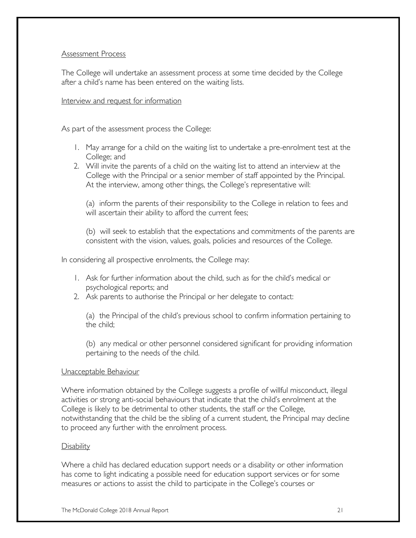#### Assessment Process

The College will undertake an assessment process at some time decided by the College after a child's name has been entered on the waiting lists.

#### Interview and request for information

As part of the assessment process the College:

- 1. May arrange for a child on the waiting list to undertake a pre-enrolment test at the College; and
- 2. Will invite the parents of a child on the waiting list to attend an interview at the College with the Principal or a senior member of staff appointed by the Principal. At the interview, among other things, the College's representative will:

(a) inform the parents of their responsibility to the College in relation to fees and will ascertain their ability to afford the current fees;

(b) will seek to establish that the expectations and commitments of the parents are consistent with the vision, values, goals, policies and resources of the College.

In considering all prospective enrolments, the College may:

- 1. Ask for further information about the child, such as for the child's medical or psychological reports; and
- 2. Ask parents to authorise the Principal or her delegate to contact:

(a) the Principal of the child's previous school to confirm information pertaining to the child;

(b) any medical or other personnel considered significant for providing information pertaining to the needs of the child.

#### Unacceptable Behaviour

Where information obtained by the College suggests a profile of willful misconduct, illegal activities or strong anti-social behaviours that indicate that the child's enrolment at the College is likely to be detrimental to other students, the staff or the College, notwithstanding that the child be the sibling of a current student, the Principal may decline to proceed any further with the enrolment process.

#### **Disability**

Where a child has declared education support needs or a disability or other information has come to light indicating a possible need for education support services or for some measures or actions to assist the child to participate in the College's courses or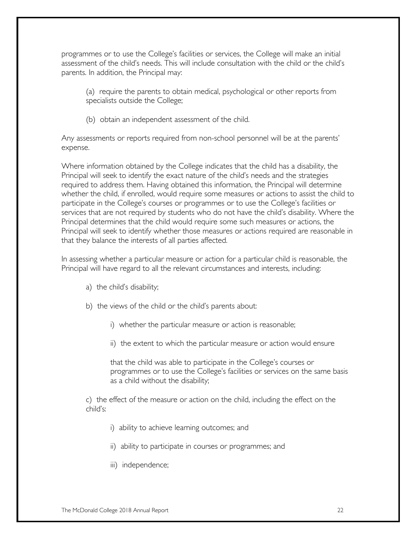programmes or to use the College's facilities or services, the College will make an initial assessment of the child's needs. This will include consultation with the child or the child's parents. In addition, the Principal may:

(a) require the parents to obtain medical, psychological or other reports from specialists outside the College;

(b) obtain an independent assessment of the child.

Any assessments or reports required from non-school personnel will be at the parents' expense.

Where information obtained by the College indicates that the child has a disability, the Principal will seek to identify the exact nature of the child's needs and the strategies required to address them. Having obtained this information, the Principal will determine whether the child, if enrolled, would require some measures or actions to assist the child to participate in the College's courses or programmes or to use the College's facilities or services that are not required by students who do not have the child's disability. Where the Principal determines that the child would require some such measures or actions, the Principal will seek to identify whether those measures or actions required are reasonable in that they balance the interests of all parties affected.

In assessing whether a particular measure or action for a particular child is reasonable, the Principal will have regard to all the relevant circumstances and interests, including:

- a) the child's disability;
- b) the views of the child or the child's parents about:
	- i) whether the particular measure or action is reasonable;
	- ii) the extent to which the particular measure or action would ensure

that the child was able to participate in the College's courses or programmes or to use the College's facilities or services on the same basis as a child without the disability;

c) the effect of the measure or action on the child, including the effect on the child's:

- i) ability to achieve learning outcomes; and
- ii) ability to participate in courses or programmes; and
- iii) independence;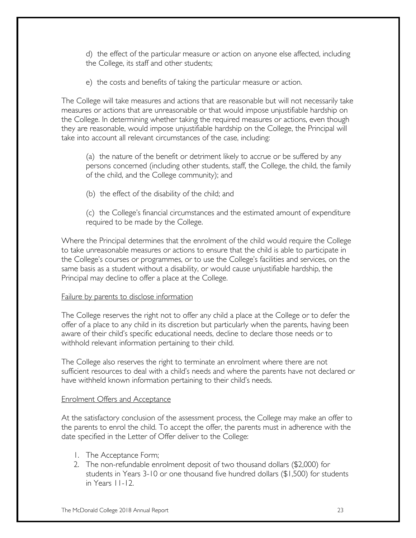d) the effect of the particular measure or action on anyone else affected, including the College, its staff and other students;

e) the costs and benefits of taking the particular measure or action.

The College will take measures and actions that are reasonable but will not necessarily take measures or actions that are unreasonable or that would impose unjustifiable hardship on the College. In determining whether taking the required measures or actions, even though they are reasonable, would impose unjustifiable hardship on the College, the Principal will take into account all relevant circumstances of the case, including:

(a) the nature of the benefit or detriment likely to accrue or be suffered by any persons concerned (including other students, staff, the College, the child, the family of the child, and the College community); and

(b) the effect of the disability of the child; and

(c) the College's financial circumstances and the estimated amount of expenditure required to be made by the College.

Where the Principal determines that the enrolment of the child would require the College to take unreasonable measures or actions to ensure that the child is able to participate in the College's courses or programmes, or to use the College's facilities and services, on the same basis as a student without a disability, or would cause unjustifiable hardship, the Principal may decline to offer a place at the College.

#### Failure by parents to disclose information

The College reserves the right not to offer any child a place at the College or to defer the offer of a place to any child in its discretion but particularly when the parents, having been aware of their child's specific educational needs, decline to declare those needs or to withhold relevant information pertaining to their child.

The College also reserves the right to terminate an enrolment where there are not sufficient resources to deal with a child's needs and where the parents have not declared or have withheld known information pertaining to their child's needs.

#### Enrolment Offers and Acceptance

At the satisfactory conclusion of the assessment process, the College may make an offer to the parents to enrol the child. To accept the offer, the parents must in adherence with the date specified in the Letter of Offer deliver to the College:

- 1. The Acceptance Form;
- 2. The non-refundable enrolment deposit of two thousand dollars (\$2,000) for students in Years 3-10 or one thousand five hundred dollars (\$1,500) for students in Years 11-12.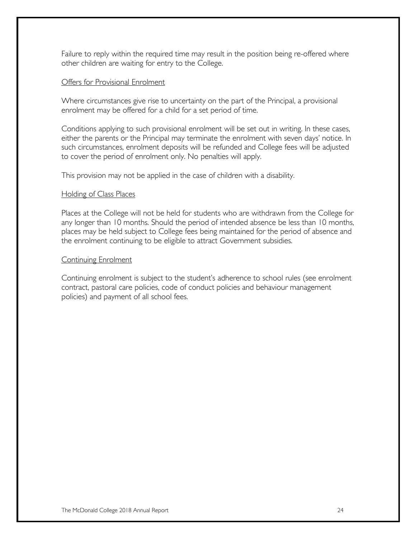Failure to reply within the required time may result in the position being re-offered where other children are waiting for entry to the College.

#### Offers for Provisional Enrolment

Where circumstances give rise to uncertainty on the part of the Principal, a provisional enrolment may be offered for a child for a set period of time.

Conditions applying to such provisional enrolment will be set out in writing. In these cases, either the parents or the Principal may terminate the enrolment with seven days' notice. In such circumstances, enrolment deposits will be refunded and College fees will be adjusted to cover the period of enrolment only. No penalties will apply.

This provision may not be applied in the case of children with a disability.

#### Holding of Class Places

Places at the College will not be held for students who are withdrawn from the College for any longer than 10 months. Should the period of intended absence be less than 10 months, places may be held subject to College fees being maintained for the period of absence and the enrolment continuing to be eligible to attract Government subsidies.

#### Continuing Enrolment

Continuing enrolment is subject to the student's adherence to school rules (see enrolment contract, pastoral care policies, code of conduct policies and behaviour management policies) and payment of all school fees.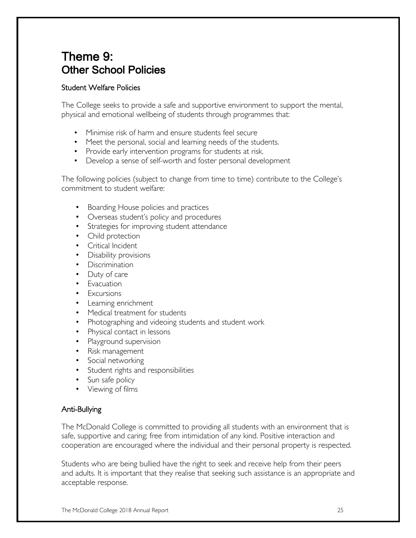# Theme 9: Other School Policies

#### Student Welfare Policies

The College seeks to provide a safe and supportive environment to support the mental, physical and emotional wellbeing of students through programmes that:

- Minimise risk of harm and ensure students feel secure
- Meet the personal, social and learning needs of the students.
- Provide early intervention programs for students at risk.
- Develop a sense of self-worth and foster personal development

The following policies (subject to change from time to time) contribute to the College's commitment to student welfare:

- Boarding House policies and practices
- Overseas student's policy and procedures
- Strategies for improving student attendance
- Child protection
- Critical Incident
- Disability provisions
- Discrimination
- Duty of care
- **Evacuation**
- Excursions
- Learning enrichment
- Medical treatment for students
- Photographing and videoing students and student work
- Physical contact in lessons
- Playground supervision
- Risk management
- Social networking
- Student rights and responsibilities
- Sun safe policy
- Viewing of films

#### Anti-Bullying

The McDonald College is committed to providing all students with an environment that is safe, supportive and caring; free from intimidation of any kind. Positive interaction and cooperation are encouraged where the individual and their personal property is respected.

Students who are being bullied have the right to seek and receive help from their peers and adults. It is important that they realise that seeking such assistance is an appropriate and acceptable response.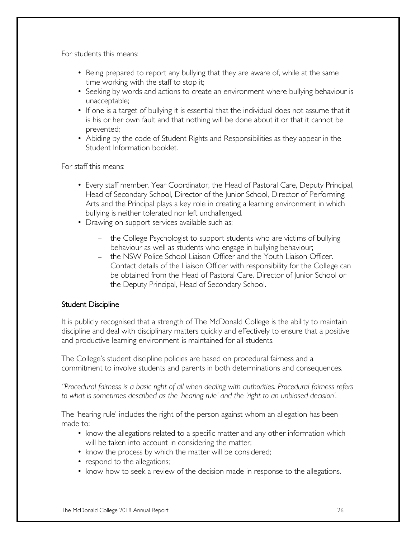For students this means:

- Being prepared to report any bullying that they are aware of, while at the same time working with the staff to stop it;
- Seeking by words and actions to create an environment where bullying behaviour is unacceptable;
- If one is a target of bullying it is essential that the individual does not assume that it is his or her own fault and that nothing will be done about it or that it cannot be prevented;
- Abiding by the code of Student Rights and Responsibilities as they appear in the Student Information booklet.

For staff this means:

- Every staff member, Year Coordinator, the Head of Pastoral Care, Deputy Principal, Head of Secondary School, Director of the Junior School, Director of Performing Arts and the Principal plays a key role in creating a learning environment in which bullying is neither tolerated nor left unchallenged.
- Drawing on support services available such as;
	- the College Psychologist to support students who are victims of bullying behaviour as well as students who engage in bullying behaviour;
	- the NSW Police School Liaison Officer and the Youth Liaison Officer. Contact details of the Liaison Officer with responsibility for the College can be obtained from the Head of Pastoral Care, Director of Junior School or the Deputy Principal, Head of Secondary School.

#### Student Discipline

It is publicly recognised that a strength of The McDonald College is the ability to maintain discipline and deal with disciplinary matters quickly and effectively to ensure that a positive and productive learning environment is maintained for all students.

The College's student discipline policies are based on procedural fairness and a commitment to involve students and parents in both determinations and consequences.

*"Procedural fairness is a basic right of all when dealing with authorities. Procedural fairness refers to what is sometimes described as the 'hearing rule' and the 'right to an unbiased decision'.*

The 'hearing rule' includes the right of the person against whom an allegation has been made to:

- know the allegations related to a specific matter and any other information which will be taken into account in considering the matter;
- know the process by which the matter will be considered;
- respond to the allegations;
- know how to seek a review of the decision made in response to the allegations.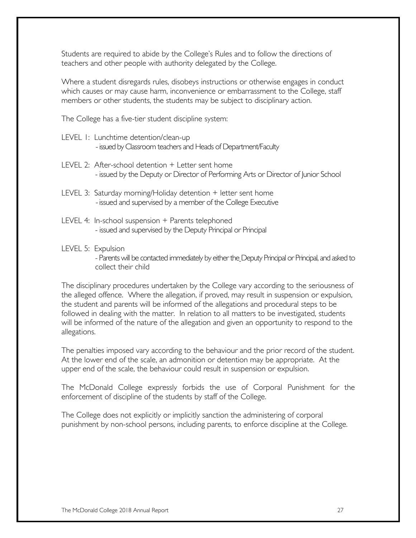Students are required to abide by the College's Rules and to follow the directions of teachers and other people with authority delegated by the College.

Where a student disregards rules, disobeys instructions or otherwise engages in conduct which causes or may cause harm, inconvenience or embarrassment to the College, staff members or other students, the students may be subject to disciplinary action.

The College has a five-tier student discipline system:

- LEVEL 1: Lunchtime detention/clean-up -issued by Classroom teachers and Heads of Department/Faculty
- LEVEL 2: After-school detention + Letter sent home - issued by the Deputy or Director of Performing Arts or Director of Junior School
- LEVEL 3: Saturday morning/Holiday detention + letter sent home -issued and supervised by a member of the College Executive
- LEVEL 4: In-school suspension + Parents telephoned - issued and supervised by the Deputy Principal or Principal
- LEVEL 5: Expulsion - Parents will be contacted immediately by either the Deputy Principal or Principal, and asked to collect their child

The disciplinary procedures undertaken by the College vary according to the seriousness of the alleged offence. Where the allegation, if proved, may result in suspension or expulsion, the student and parents will be informed of the allegations and procedural steps to be followed in dealing with the matter. In relation to all matters to be investigated, students will be informed of the nature of the allegation and given an opportunity to respond to the allegations.

The penalties imposed vary according to the behaviour and the prior record of the student. At the lower end of the scale, an admonition or detention may be appropriate. At the upper end of the scale, the behaviour could result in suspension or expulsion.

The McDonald College expressly forbids the use of Corporal Punishment for the enforcement of discipline of the students by staff of the College.

The College does not explicitly or implicitly sanction the administering of corporal punishment by non-school persons, including parents, to enforce discipline at the College.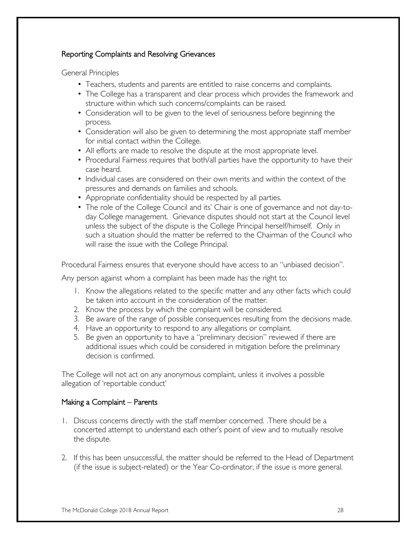#### Reporting Complaints and Resolving Grievances

General Principles

- Teachers, students and parents are entitled to raise concerns and complaints.
- The College has a transparent and clear process which provides the framework and structure within which such concerns/complaints can be raised.
- Consideration will to be given to the level of seriousness before beginning the process.
- Consideration will also be given to determining the most appropriate staff member for initial contact within the College.
- All efforts are made to resolve the dispute at the most appropriate level.
- Procedural Fairness requires that both/all parties have the opportunity to have their case heard.
- Individual cases are considered on their own merits and within the context of the pressures and demands on families and schools.
- Appropriate confidentiality should be respected by all parties.
- The role of the College Council and its' Chair is one of governance and not day-today College management. Grievance disputes should not start at the Council level unless the subject of the dispute is the College Principal herself/himself. Only in such a situation should the matter be referred to the Chairman of the Council who will raise the issue with the College Principal.

Procedural Fairness ensures that everyone should have access to an "unbiased decision".

Any person against whom a complaint has been made has the right to:

- 1. Know the allegations related to the specific matter and any other facts which could be taken into account in the consideration of the matter.
- 2. Know the process by which the complaint will be considered.
- 3. Be aware of the range of possible consequences resulting from the decisions made.
- 4. Have an opportunity to respond to any allegations or complaint.
- 5. Be given an opportunity to have a "preliminary decision" reviewed if there are additional issues which could be considered in mitigation before the preliminary decision is confirmed.

The College will not act on any anonymous complaint, unless it involves a possible allegation of 'reportable conduct'

#### Making a Complaint – Parents

- 1. Discuss concerns directly with the staff member concerned. .There should be a concerted attempt to understand each other's point of view and to mutually resolve the dispute.
- 2. If this has been unsuccessful, the matter should be referred to the Head of Department (if the issue is subject-related) or the Year Co-ordinator, if the issue is more general.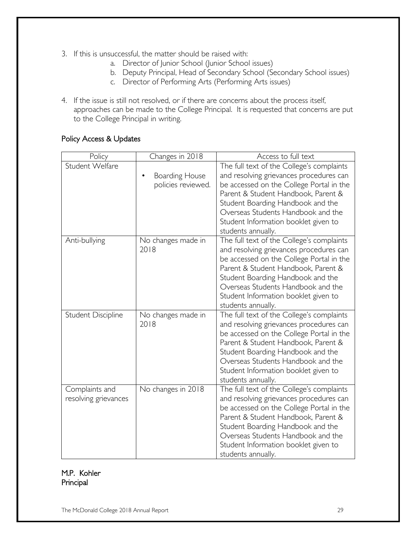- 3. If this is unsuccessful, the matter should be raised with:
	- a. Director of Junior School (Junior School issues)
	- b. Deputy Principal, Head of Secondary School (Secondary School issues)
	- c. Director of Performing Arts (Performing Arts issues)
- 4. If the issue is still not resolved, or if there are concerns about the process itself, approaches can be made to the College Principal. It is requested that concerns are put to the College Principal in writing.

#### Policy Access & Updates

| Policy                                 | Changes in 2018                             | Access to full text                                                                                                                                                                                                                                                                                              |
|----------------------------------------|---------------------------------------------|------------------------------------------------------------------------------------------------------------------------------------------------------------------------------------------------------------------------------------------------------------------------------------------------------------------|
| Student Welfare                        | <b>Boarding House</b><br>policies reviewed. | The full text of the College's complaints<br>and resolving grievances procedures can<br>be accessed on the College Portal in the<br>Parent & Student Handbook, Parent &<br>Student Boarding Handbook and the<br>Overseas Students Handbook and the<br>Student Information booklet given to<br>students annually. |
| Anti-bullying                          | No changes made in<br>2018                  | The full text of the College's complaints<br>and resolving grievances procedures can<br>be accessed on the College Portal in the<br>Parent & Student Handbook, Parent &<br>Student Boarding Handbook and the<br>Overseas Students Handbook and the<br>Student Information booklet given to<br>students annually. |
| <b>Student Discipline</b>              | No changes made in<br>2018                  | The full text of the College's complaints<br>and resolving grievances procedures can<br>be accessed on the College Portal in the<br>Parent & Student Handbook, Parent &<br>Student Boarding Handbook and the<br>Overseas Students Handbook and the<br>Student Information booklet given to<br>students annually. |
| Complaints and<br>resolving grievances | No changes in 2018                          | The full text of the College's complaints<br>and resolving grievances procedures can<br>be accessed on the College Portal in the<br>Parent & Student Handbook, Parent &<br>Student Boarding Handbook and the<br>Overseas Students Handbook and the<br>Student Information booklet given to<br>students annually. |

M.P. Kohler Principal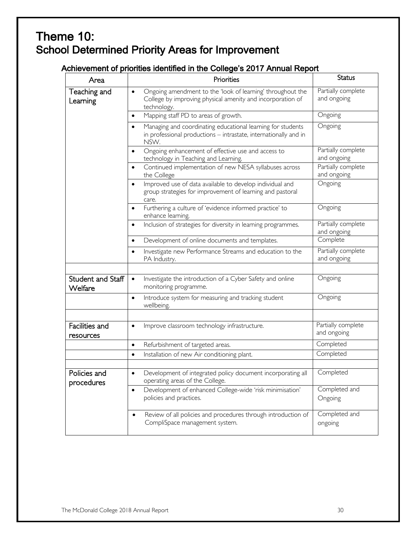# Theme 10: School Determined Priority Areas for Improvement

### Achievement of priorities identified in the College's 2017 Annual Report

| Area                         | Priorities                                                                                                                                           | <b>Status</b>                     |
|------------------------------|------------------------------------------------------------------------------------------------------------------------------------------------------|-----------------------------------|
| Teaching and<br>Learning     | Ongoing amendment to the 'look of learning' throughout the<br>$\bullet$<br>College by improving physical amenity and incorporation of<br>technology. | Partially complete<br>and ongoing |
|                              | Mapping staff PD to areas of growth.<br>$\bullet$                                                                                                    | Ongoing                           |
|                              | Managing and coordinating educational learning for students<br>$\bullet$<br>in professional productions - intrastate, internationally and in<br>NSW. | Ongoing                           |
|                              | Ongoing enhancement of effective use and access to<br>$\bullet$<br>technology in Teaching and Learning.                                              | Partially complete<br>and ongoing |
|                              | Continued implementation of new NESA syllabuses across<br>$\bullet$<br>the College                                                                   | Partially complete<br>and ongoing |
|                              | Improved use of data available to develop individual and<br>$\bullet$<br>group strategies for improvement of learning and pastoral<br>care.          | Ongoing                           |
|                              | Furthering a culture of 'evidence informed practice' to<br>$\bullet$<br>enhance learning.                                                            | Ongoing                           |
|                              | Inclusion of strategies for diversity in learning programmes.<br>$\bullet$                                                                           | Partially complete<br>and ongoing |
|                              | Development of online documents and templates.<br>$\bullet$                                                                                          | Complete                          |
|                              | Investigate new Performance Streams and education to the<br>$\bullet$<br>PA Industry.                                                                | Partially complete<br>and ongoing |
|                              |                                                                                                                                                      |                                   |
| Student and Staff<br>Welfare | Investigate the introduction of a Cyber Safety and online<br>$\bullet$<br>monitoring programme.                                                      | Ongoing                           |
|                              | Introduce system for measuring and tracking student<br>$\bullet$<br>wellbeing.                                                                       | Ongoing                           |
|                              |                                                                                                                                                      |                                   |
| Facilities and<br>resources  | Improve classroom technology infrastructure.<br>$\bullet$                                                                                            | Partially complete<br>and ongoing |
|                              | Refurbishment of targeted areas.<br>$\bullet$                                                                                                        | Completed                         |
|                              | Installation of new Air conditioning plant.<br>$\bullet$                                                                                             | Completed                         |
|                              |                                                                                                                                                      |                                   |
| Policies and<br>procedures   | Development of integrated policy document incorporating all<br>$\bullet$<br>operating areas of the College.                                          | Completed                         |
|                              | Development of enhanced College-wide 'risk minimisation'<br>$\bullet$<br>policies and practices.                                                     | Completed and<br>Ongoing          |
|                              | Review of all policies and procedures through introduction of<br>$\bullet$<br>CompliSpace management system.                                         | Completed and<br>ongoing          |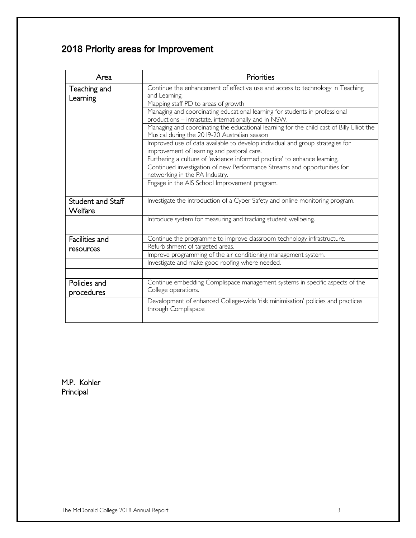### 2018 Priority areas for Improvement

| Area              | Priorities                                                                                |  |
|-------------------|-------------------------------------------------------------------------------------------|--|
| Teaching and      | Continue the enhancement of effective use and access to technology in Teaching            |  |
| Learning          | and Learning.                                                                             |  |
|                   | Mapping staff PD to areas of growth                                                       |  |
|                   | Managing and coordinating educational learning for students in professional               |  |
|                   | productions - intrastate, internationally and in NSW.                                     |  |
|                   | Managing and coordinating the educational learning for the child cast of Billy Elliot the |  |
|                   | Musical during the 2019-20 Australian season                                              |  |
|                   | Improved use of data available to develop individual and group strategies for             |  |
|                   | improvement of learning and pastoral care.                                                |  |
|                   | Furthering a culture of 'evidence informed practice' to enhance learning.                 |  |
|                   | Continued investigation of new Performance Streams and opportunities for                  |  |
|                   | networking in the PA Industry.                                                            |  |
|                   | Engage in the AIS School Improvement program.                                             |  |
|                   |                                                                                           |  |
| Student and Staff | Investigate the introduction of a Cyber Safety and online monitoring program.             |  |
| Welfare           |                                                                                           |  |
|                   | Introduce system for measuring and tracking student wellbeing.                            |  |
|                   |                                                                                           |  |
|                   |                                                                                           |  |
| Facilities and    | Continue the programme to improve classroom technology infrastructure.                    |  |
| resources         | Refurbishment of targeted areas.                                                          |  |
|                   | Improve programming of the air conditioning management system.                            |  |
|                   | Investigate and make good roofing where needed.                                           |  |
|                   |                                                                                           |  |
| Policies and      | Continue embedding Complispace management systems in specific aspects of the              |  |
| procedures        | College operations.                                                                       |  |
|                   | Development of enhanced College-wide 'risk minimisation' policies and practices           |  |
|                   | through Complispace                                                                       |  |
|                   |                                                                                           |  |

M.P. Kohler Principal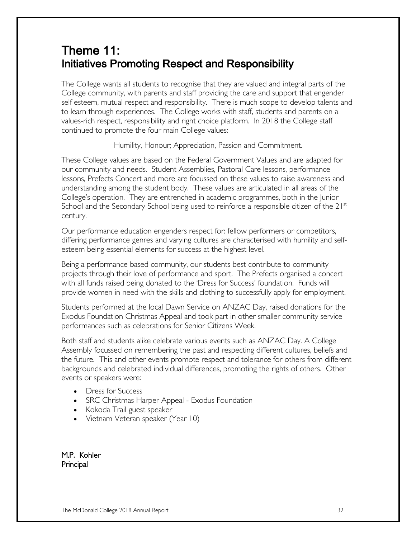# Theme 11: Initiatives Promoting Respect and Responsibility

The College wants all students to recognise that they are valued and integral parts of the College community, with parents and staff providing the care and support that engender self esteem, mutual respect and responsibility. There is much scope to develop talents and to learn through experiences. The College works with staff, students and parents on a values-rich respect, responsibility and right choice platform. In 2018 the College staff continued to promote the four main College values:

Humility, Honour; Appreciation, Passion and Commitment.

These College values are based on the Federal Government Values and are adapted for our community and needs. Student Assemblies, Pastoral Care lessons, performance lessons, Prefects Concert and more are focussed on these values to raise awareness and understanding among the student body. These values are articulated in all areas of the College's operation. They are entrenched in academic programmes, both in the Junior School and the Secondary School being used to reinforce a responsible citizen of the  $21<sup>st</sup>$ century.

Our performance education engenders respect for: fellow performers or competitors, differing performance genres and varying cultures are characterised with humility and selfesteem being essential elements for success at the highest level.

Being a performance based community, our students best contribute to community projects through their love of performance and sport. The Prefects organised a concert with all funds raised being donated to the 'Dress for Success' foundation. Funds will provide women in need with the skills and clothing to successfully apply for employment.

Students performed at the local Dawn Service on ANZAC Day, raised donations for the Exodus Foundation Christmas Appeal and took part in other smaller community service performances such as celebrations for Senior Citizens Week.

Both staff and students alike celebrate various events such as ANZAC Day. A College Assembly focussed on remembering the past and respecting different cultures, beliefs and the future. This and other events promote respect and tolerance for others from different backgrounds and celebrated individual differences, promoting the rights of others. Other events or speakers were:

- Dress for Success
- SRC Christmas Harper Appeal Exodus Foundation
- Kokoda Trail guest speaker
- Vietnam Veteran speaker (Year 10)

M.P. Kohler Principal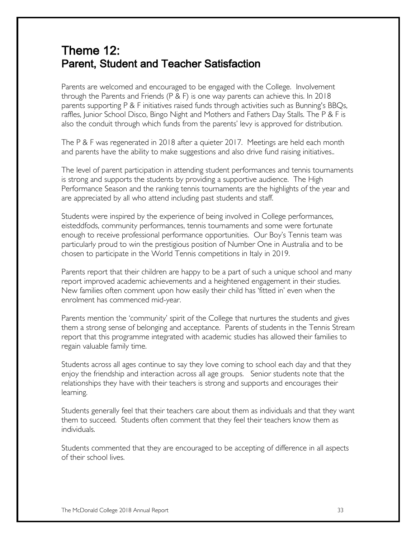# Theme 12: Parent, Student and Teacher Satisfaction

Parents are welcomed and encouraged to be engaged with the College. Involvement through the Parents and Friends (P & F) is one way parents can achieve this. In 2018 parents supporting P & F initiatives raised funds through activities such as Bunning's BBQs, raffles, Junior School Disco, Bingo Night and Mothers and Fathers Day Stalls. The P & F is also the conduit through which funds from the parents' levy is approved for distribution.

The P & F was regenerated in 2018 after a quieter 2017. Meetings are held each month and parents have the ability to make suggestions and also drive fund raising initiatives..

The level of parent participation in attending student performances and tennis tournaments is strong and supports the students by providing a supportive audience. The High Performance Season and the ranking tennis tournaments are the highlights of the year and are appreciated by all who attend including past students and staff.

Students were inspired by the experience of being involved in College performances, eisteddfods, community performances, tennis tournaments and some were fortunate enough to receive professional performance opportunities. Our Boy's Tennis team was particularly proud to win the prestigious position of Number One in Australia and to be chosen to participate in the World Tennis competitions in Italy in 2019.

Parents report that their children are happy to be a part of such a unique school and many report improved academic achievements and a heightened engagement in their studies. New families often comment upon how easily their child has 'fitted in' even when the enrolment has commenced mid-year.

Parents mention the 'community' spirit of the College that nurtures the students and gives them a strong sense of belonging and acceptance. Parents of students in the Tennis Stream report that this programme integrated with academic studies has allowed their families to regain valuable family time.

Students across all ages continue to say they love coming to school each day and that they enjoy the friendship and interaction across all age groups. Senior students note that the relationships they have with their teachers is strong and supports and encourages their learning.

Students generally feel that their teachers care about them as individuals and that they want them to succeed. Students often comment that they feel their teachers know them as individuals.

Students commented that they are encouraged to be accepting of difference in all aspects of their school lives.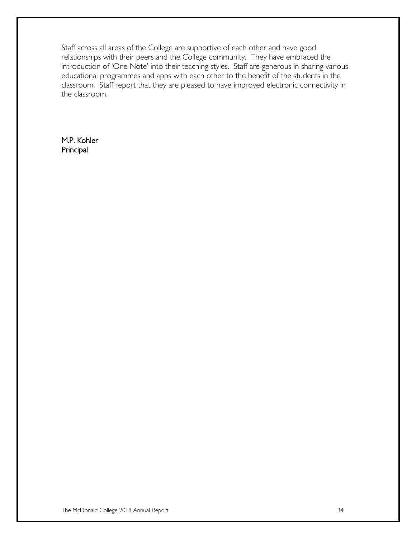Staff across all areas of the College are supportive of each other and have good relationships with their peers and the College community. They have embraced the introduction of 'One Note' into their teaching styles. Staff are generous in sharing various educational programmes and apps with each other to the benefit of the students in the classroom. Staff report that they are pleased to have improved electronic connectivity in the classroom.

M.P. Kohler Principal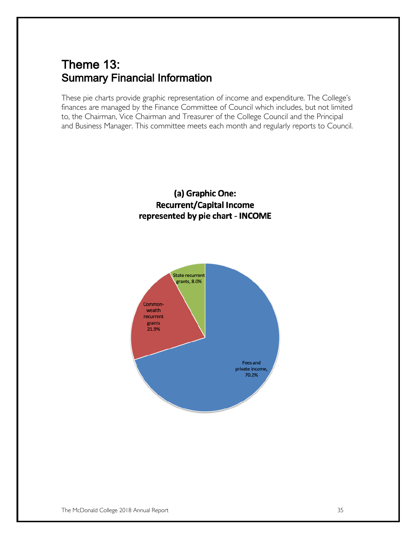# Theme 13: Summary Financial Information

These pie charts provide graphic representation of income and expenditure. The College's finances are managed by the Finance Committee of Council which includes, but not limited to, the Chairman, Vice Chairman and Treasurer of the College Council and the Principal and Business Manager. This committee meets each month and regularly reports to Council.

### (a) Graphic One: **Recurrent/Capital Income** represented by pie chart - INCOME

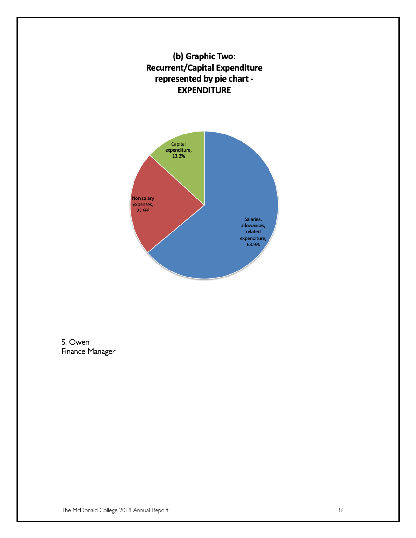



S. Owen Finance Manager